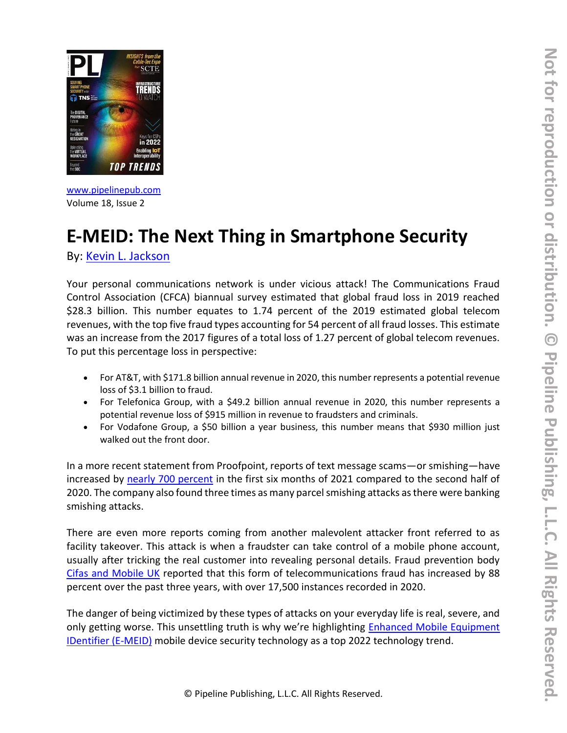

[www.pipelinepub.com](https://www.pipelinepub.com/248) Volume 18, Issue 2

## **E-MEID: The Next Thing in Smartphone Security**

By: [Kevin L. Jackson](https://www.pipelinepub.com/contributors#Kevin-L.--Jackson)

Your personal communications network is under vicious attack! The Communications Fraud Control Association (CFCA) biannual survey estimated that global fraud loss in 2019 reached \$28.3 billion. This number equates to 1.74 percent of the 2019 estimated global telecom revenues, with the top five fraud types accounting for 54 percent of all fraud losses. This estimate was an increase from the 2017 figures of a total loss of 1.27 percent of global telecom revenues. To put this percentage loss in perspective:

- For AT&T, with \$171.8 billion annual revenue in 2020, this number represents a potential revenue loss of \$3.1 billion to fraud.
- For Telefonica Group, with a \$49.2 billion annual revenue in 2020, this number represents a potential revenue loss of \$915 million in revenue to fraudsters and criminals.
- For Vodafone Group, a \$50 billion a year business, this number means that \$930 million just walked out the front door.

In a more recent statement from Proofpoint, reports of text message scams—or smishing—have increased by [nearly 700 percent](https://www.itpro.com/security/scams/360873/smishing-attacks-increase-700-percent-2021) in the first six months of 2021 compared to the second half of 2020. The company also found three times as many parcel smishing attacks as there were banking smishing attacks.

There are even more reports coming from another malevolent attacker front referred to as facility takeover. This attack is when a fraudster can take control of a mobile phone account, usually after tricking the real customer into revealing personal details. Fraud prevention body [Cifas and Mobile UK](https://www.cifas.org.uk/newsroom/adverse-credit-press-release-february-2020) reported that this form of telecommunications fraud has increased by 88 percent over the past three years, with over 17,500 instances recorded in 2020.

The danger of being victimized by these types of attacks on your everyday life is real, severe, and only getting worse. This unsettling truth is why we're highlighting [Enhanced Mobile Equipment](https://www.tnscorp.io/)  [IDentifier \(E-MEID\)](https://www.tnscorp.io/) mobile device security technology as a top 2022 technology trend.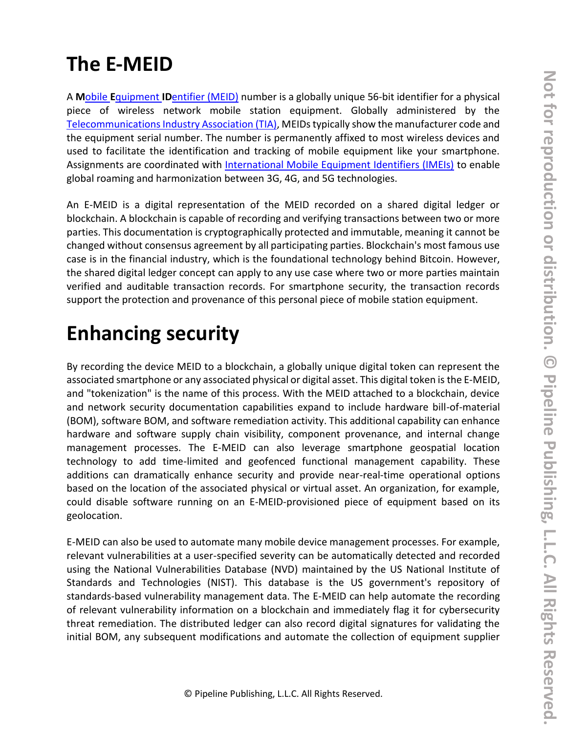## **The E-MEID**

A **M**obile **E**quipment **ID**[entifier \(MEID\)](https://tiaonline.org/products-and-services/meid-database/) number is a globally unique 56-bit identifier for a physical piece of wireless network mobile station equipment. Globally administered by the [Telecommunications Industry Association \(TIA\),](https://tiaonline.org/) MEIDs typically show the manufacturer code and the equipment serial number. The number is permanently affixed to most wireless devices and used to facilitate the identification and tracking of mobile equipment like your smartphone. Assignments are coordinated with [International Mobile Equipment Identifiers \(IMEIs\)](https://www.gsma.com/services/tac/devicedatabase/) to enable global roaming and harmonization between 3G, 4G, and 5G technologies.

An E-MEID is a digital representation of the MEID recorded on a shared digital ledger or blockchain. A blockchain is capable of recording and verifying transactions between two or more parties. This documentation is cryptographically protected and immutable, meaning it cannot be changed without consensus agreement by all participating parties. Blockchain's most famous use case is in the financial industry, which is the foundational technology behind Bitcoin. However, the shared digital ledger concept can apply to any use case where two or more parties maintain verified and auditable transaction records. For smartphone security, the transaction records support the protection and provenance of this personal piece of mobile station equipment.

## **Enhancing security**

By recording the device MEID to a blockchain, a globally unique digital token can represent the associated smartphone or any associated physical or digital asset. This digital token is the E-MEID, and "tokenization" is the name of this process. With the MEID attached to a blockchain, device and network security documentation capabilities expand to include hardware bill-of-material (BOM), software BOM, and software remediation activity. This additional capability can enhance hardware and software supply chain visibility, component provenance, and internal change management processes. The E-MEID can also leverage smartphone geospatial location technology to add time-limited and geofenced functional management capability. These additions can dramatically enhance security and provide near-real-time operational options based on the location of the associated physical or virtual asset. An organization, for example, could disable software running on an E-MEID-provisioned piece of equipment based on its geolocation.

E-MEID can also be used to automate many mobile device management processes. For example, relevant vulnerabilities at a user-specified severity can be automatically detected and recorded using the National Vulnerabilities Database (NVD) maintained by the US National Institute of Standards and Technologies (NIST). This database is the US government's repository of standards-based vulnerability management data. The E-MEID can help automate the recording of relevant vulnerability information on a blockchain and immediately flag it for cybersecurity threat remediation. The distributed ledger can also record digital signatures for validating the initial BOM, any subsequent modifications and automate the collection of equipment supplier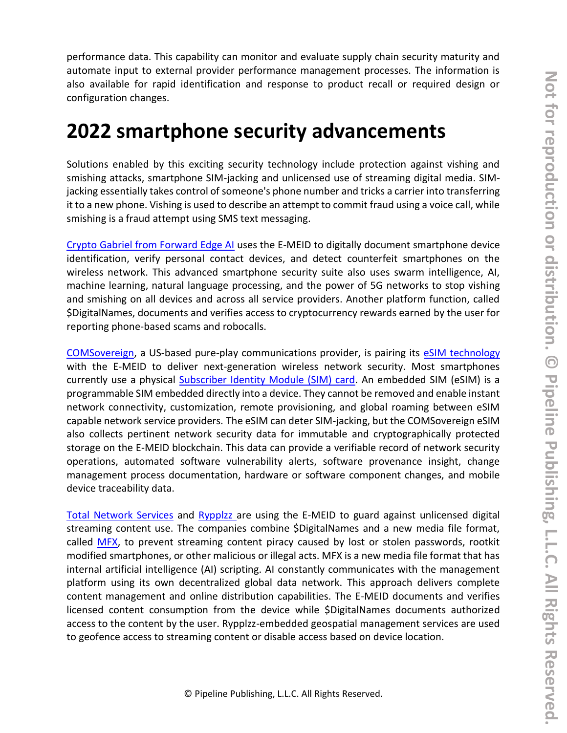performance data. This capability can monitor and evaluate supply chain security maturity and automate input to external provider performance management processes. The information is also available for rapid identification and response to product recall or required design or configuration changes.

## **2022 smartphone security advancements**

Solutions enabled by this exciting security technology include protection against vishing and smishing attacks, smartphone SIM-jacking and unlicensed use of streaming digital media. SIMjacking essentially takes control of someone's phone number and tricks a carrier into transferring it to a new phone. Vishing is used to describe an attempt to commit fraud using a voice call, while smishing is a fraud attempt using SMS text messaging.

[Crypto Gabriel from Forward Edge AI](https://forwardedge-ai.com/products/) uses the E-MEID to digitally document smartphone device identification, verify personal contact devices, and detect counterfeit smartphones on the wireless network. This advanced smartphone security suite also uses swarm intelligence, AI, machine learning, natural language processing, and the power of 5G networks to stop vishing and smishing on all devices and across all service providers. Another platform function, called \$DigitalNames, documents and verifies access to cryptocurrency rewards earned by the user for reporting phone-based scams and robocalls.

[COMSovereign,](https://www.comsovereign.com/) a US-based pure-play communications provider, is pairing its [eSIM technology](https://www.gsma.com/services/esim/) with the E-MEID to deliver next-generation wireless network security. Most smartphones currently use a physical [Subscriber Identity Module \(SIM\) card.](https://en.wikipedia.org/wiki/SIM_card) An embedded SIM (eSIM) is a programmable SIM embedded directly into a device. They cannot be removed and enable instant network connectivity, customization, remote provisioning, and global roaming between eSIM capable network service providers. The eSIM can deter SIM-jacking, but the COMSovereign eSIM also collects pertinent network security data for immutable and cryptographically protected storage on the E-MEID blockchain. This data can provide a verifiable record of network security operations, automated software vulnerability alerts, software provenance insight, change management process documentation, hardware or software component changes, and mobile device traceability data.

[Total Network Services](https://www.tnscorp.io/) and [Rypplzz](https://rypplzz.com/) are using the E-MEID to guard against unlicensed digital streaming content use. The companies combine \$DigitalNames and a new media file format, called [MFX,](https://mfx.world/) to prevent streaming content piracy caused by lost or stolen passwords, rootkit modified smartphones, or other malicious or illegal acts. MFX is a new media file format that has internal artificial intelligence (AI) scripting. AI constantly communicates with the management platform using its own decentralized global data network. This approach delivers complete content management and online distribution capabilities. The E-MEID documents and verifies licensed content consumption from the device while \$DigitalNames documents authorized access to the content by the user. Rypplzz-embedded geospatial management services are used to geofence access to streaming content or disable access based on device location.